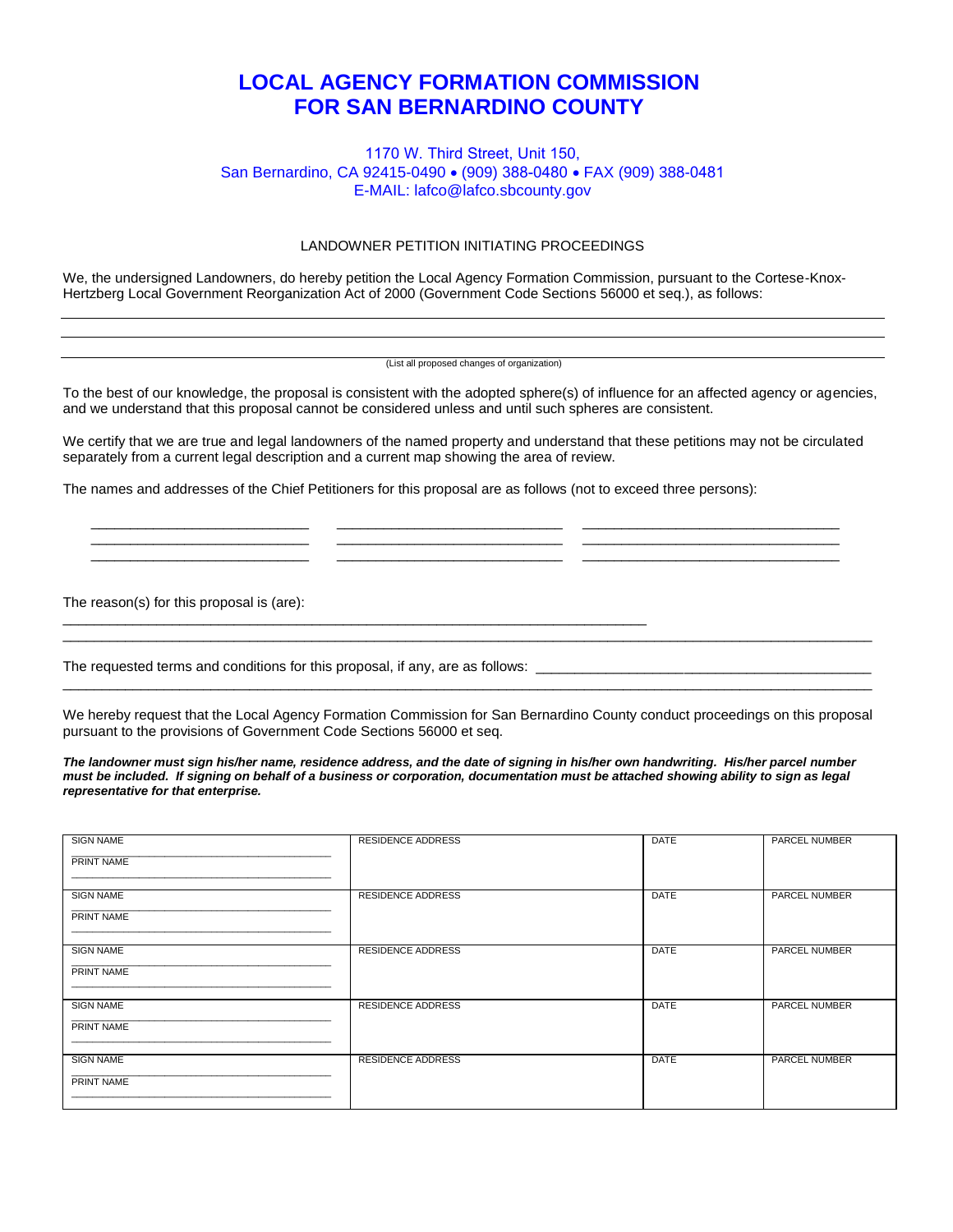## **LOCAL AGENCY FORMATION COMMISSION FOR SAN BERNARDINO COUNTY**

## 1170 W. Third Street, Unit 150, San Bernardino, CA 92415-0490 · (909) 388-0480 · FAX (909) 388-0481 E-MAIL: lafco@lafco.sbcounty.gov

## LANDOWNER PETITION INITIATING PROCEEDINGS

We, the undersigned Landowners, do hereby petition the Local Agency Formation Commission, pursuant to the Cortese-Knox-Hertzberg Local Government Reorganization Act of 2000 (Government Code Sections 56000 et seq.), as follows:

(List all proposed changes of organization)

To the best of our knowledge, the proposal is consistent with the adopted sphere(s) of influence for an affected agency or agencies, and we understand that this proposal cannot be considered unless and until such spheres are consistent.

We certify that we are true and legal landowners of the named property and understand that these petitions may not be circulated separately from a current legal description and a current map showing the area of review.

\_\_\_\_\_\_\_\_\_\_\_\_\_\_\_\_\_\_\_\_\_\_\_\_\_\_\_\_ \_\_\_\_\_\_\_\_\_\_\_\_\_\_\_\_\_\_\_\_\_\_\_\_\_\_\_\_\_ \_\_\_\_\_\_\_\_\_\_\_\_\_\_\_\_\_\_\_\_\_\_\_\_\_\_\_\_\_\_\_\_\_ \_\_\_\_\_\_\_\_\_\_\_\_\_\_\_\_\_\_\_\_\_\_\_\_\_\_\_\_ \_\_\_\_\_\_\_\_\_\_\_\_\_\_\_\_\_\_\_\_\_\_\_\_\_\_\_\_\_ \_\_\_\_\_\_\_\_\_\_\_\_\_\_\_\_\_\_\_\_\_\_\_\_\_\_\_\_\_\_\_\_\_ \_\_\_\_\_\_\_\_\_\_\_\_\_\_\_\_\_\_\_\_\_\_\_\_\_\_\_\_ \_\_\_\_\_\_\_\_\_\_\_\_\_\_\_\_\_\_\_\_\_\_\_\_\_\_\_\_\_ \_\_\_\_\_\_\_\_\_\_\_\_\_\_\_\_\_\_\_\_\_\_\_\_\_\_\_\_\_\_\_\_\_

The names and addresses of the Chief Petitioners for this proposal are as follows (not to exceed three persons):

The reason(s) for this proposal is (are):

The requested terms and conditions for this proposal, if any, are as follows: \_\_\_\_\_\_\_\_\_\_\_\_\_\_\_\_\_\_\_\_\_\_\_\_\_\_\_\_\_\_\_\_

\_\_\_\_\_\_\_\_\_\_\_\_\_\_\_\_\_\_\_\_\_\_\_\_\_\_\_\_\_\_\_\_\_\_\_\_\_\_\_\_\_\_\_\_\_\_\_\_\_\_\_\_\_\_\_\_\_\_\_\_\_\_\_\_\_\_\_\_\_\_\_\_\_\_\_

We hereby request that the Local Agency Formation Commission for San Bernardino County conduct proceedings on this proposal pursuant to the provisions of Government Code Sections 56000 et seq.

\_\_\_\_\_\_\_\_\_\_\_\_\_\_\_\_\_\_\_\_\_\_\_\_\_\_\_\_\_\_\_\_\_\_\_\_\_\_\_\_\_\_\_\_\_\_\_\_\_\_\_\_\_\_\_\_\_\_\_\_\_\_\_\_\_\_\_\_\_\_\_\_\_\_\_\_\_\_\_\_\_\_\_\_\_\_\_\_\_\_\_\_\_\_\_\_\_\_\_\_\_\_\_\_

\_\_\_\_\_\_\_\_\_\_\_\_\_\_\_\_\_\_\_\_\_\_\_\_\_\_\_\_\_\_\_\_\_\_\_\_\_\_\_\_\_\_\_\_\_\_\_\_\_\_\_\_\_\_\_\_\_\_\_\_\_\_\_\_\_\_\_\_\_\_\_\_\_\_\_\_\_\_\_\_\_\_\_\_\_\_\_\_\_\_\_\_\_\_\_\_\_\_\_\_\_\_\_\_

*The landowner must sign his/her name, residence address, and the date of signing in his/her own handwriting. His/her parcel number must be included. If signing on behalf of a business or corporation, documentation must be attached showing ability to sign as legal representative for that enterprise.* 

| <b>SIGN NAME</b><br>PRINT NAME | <b>RESIDENCE ADDRESS</b> | <b>DATE</b> | <b>PARCEL NUMBER</b> |
|--------------------------------|--------------------------|-------------|----------------------|
| <b>SIGN NAME</b><br>PRINT NAME | <b>RESIDENCE ADDRESS</b> | <b>DATE</b> | <b>PARCEL NUMBER</b> |
| <b>SIGN NAME</b><br>PRINT NAME | <b>RESIDENCE ADDRESS</b> | <b>DATE</b> | PARCEL NUMBER        |
| <b>SIGN NAME</b><br>PRINT NAME | <b>RESIDENCE ADDRESS</b> | <b>DATE</b> | <b>PARCEL NUMBER</b> |
| <b>SIGN NAME</b><br>PRINT NAME | <b>RESIDENCE ADDRESS</b> | <b>DATE</b> | <b>PARCEL NUMBER</b> |